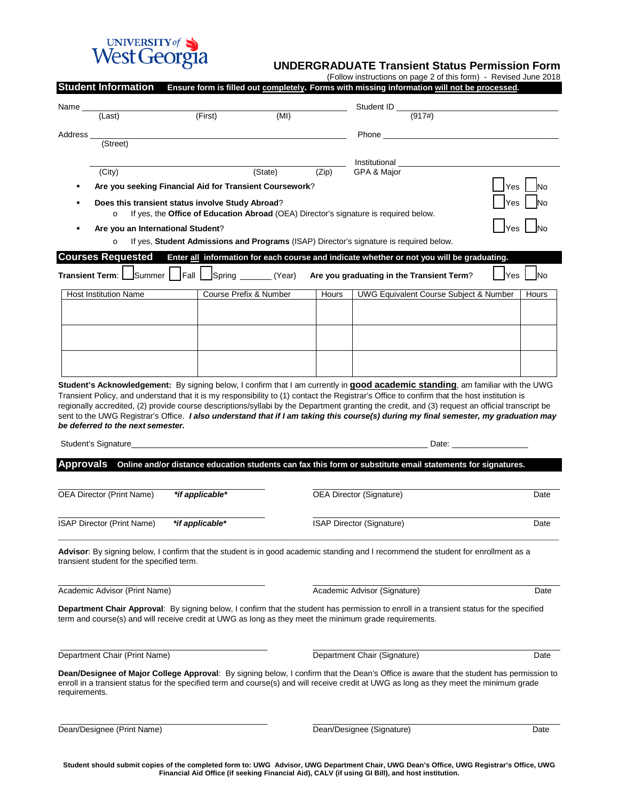

(Follow instructions on page 2 of this form) - Revised June 2018

|                                                                                                                                                     | <b>Student Information</b>                              |                 |                                                                                                                  |                           |                                 | Ensure form is filled out completely. Forms with missing information will not be processed.                                                                                                                                                                                             |                                                                                                                                                                                                                                |
|-----------------------------------------------------------------------------------------------------------------------------------------------------|---------------------------------------------------------|-----------------|------------------------------------------------------------------------------------------------------------------|---------------------------|---------------------------------|-----------------------------------------------------------------------------------------------------------------------------------------------------------------------------------------------------------------------------------------------------------------------------------------|--------------------------------------------------------------------------------------------------------------------------------------------------------------------------------------------------------------------------------|
| Name _                                                                                                                                              |                                                         |                 |                                                                                                                  |                           |                                 | Student ID $\frac{1}{(917\#)}$                                                                                                                                                                                                                                                          |                                                                                                                                                                                                                                |
|                                                                                                                                                     | $\overline{L}$ (Last)                                   |                 | (First)                                                                                                          | (MI)                      |                                 |                                                                                                                                                                                                                                                                                         |                                                                                                                                                                                                                                |
| Address_                                                                                                                                            |                                                         |                 |                                                                                                                  |                           |                                 | Phone <b>Proprietion</b> and the contract of the contract of the contract of the contract of the contract of the contract of the contract of the contract of the contract of the contract of the contract of the contract of the co                                                     |                                                                                                                                                                                                                                |
|                                                                                                                                                     | (Street)                                                |                 |                                                                                                                  |                           |                                 |                                                                                                                                                                                                                                                                                         |                                                                                                                                                                                                                                |
|                                                                                                                                                     | (City)                                                  |                 |                                                                                                                  | (State)                   | (Zip)                           | Institutional<br>GPA & Major                                                                                                                                                                                                                                                            |                                                                                                                                                                                                                                |
|                                                                                                                                                     | Are you seeking Financial Aid for Transient Coursework? |                 |                                                                                                                  |                           |                                 |                                                                                                                                                                                                                                                                                         | Yes                                                                                                                                                                                                                            |
| Does this transient status involve Study Abroad?<br>If yes, the Office of Education Abroad (OEA) Director's signature is required below.<br>$\circ$ |                                                         |                 |                                                                                                                  |                           |                                 |                                                                                                                                                                                                                                                                                         | ⁄es                                                                                                                                                                                                                            |
|                                                                                                                                                     | Are you an International Student?                       |                 |                                                                                                                  |                           |                                 |                                                                                                                                                                                                                                                                                         |                                                                                                                                                                                                                                |
|                                                                                                                                                     | $\circ$                                                 |                 |                                                                                                                  |                           |                                 | If yes, Student Admissions and Programs (ISAP) Director's signature is required below.                                                                                                                                                                                                  |                                                                                                                                                                                                                                |
|                                                                                                                                                     | <b>Courses Requested</b>                                |                 |                                                                                                                  |                           |                                 | Enter all information for each course and indicate whether or not you will be graduating.                                                                                                                                                                                               |                                                                                                                                                                                                                                |
|                                                                                                                                                     | Transient Term:   Summer                                | Fall            |                                                                                                                  |                           |                                 | Spring _______(Year) Are you graduating in the Transient Term?                                                                                                                                                                                                                          | <b>INo</b><br>Yes                                                                                                                                                                                                              |
|                                                                                                                                                     | <b>Host Institution Name</b>                            |                 | Course Prefix & Number                                                                                           |                           | Hours                           | UWG Equivalent Course Subject & Number                                                                                                                                                                                                                                                  | Hours                                                                                                                                                                                                                          |
|                                                                                                                                                     |                                                         |                 |                                                                                                                  |                           |                                 |                                                                                                                                                                                                                                                                                         |                                                                                                                                                                                                                                |
|                                                                                                                                                     |                                                         |                 |                                                                                                                  |                           |                                 |                                                                                                                                                                                                                                                                                         |                                                                                                                                                                                                                                |
|                                                                                                                                                     |                                                         |                 |                                                                                                                  |                           |                                 |                                                                                                                                                                                                                                                                                         |                                                                                                                                                                                                                                |
|                                                                                                                                                     |                                                         |                 |                                                                                                                  |                           |                                 |                                                                                                                                                                                                                                                                                         |                                                                                                                                                                                                                                |
|                                                                                                                                                     |                                                         |                 |                                                                                                                  |                           |                                 |                                                                                                                                                                                                                                                                                         |                                                                                                                                                                                                                                |
|                                                                                                                                                     | be deferred to the next semester.                       |                 |                                                                                                                  |                           |                                 | regionally accredited, (2) provide course descriptions/syllabi by the Department granting the credit, and (3) request an official transcript be<br>sent to the UWG Registrar's Office. I also understand that if I am taking this course(s) during my final semester, my graduation may |                                                                                                                                                                                                                                |
|                                                                                                                                                     | Student's Signature_                                    |                 | and the control of the control of the control of the control of the control of the control of the control of the |                           |                                 |                                                                                                                                                                                                                                                                                         | Date: the contract of the contract of the contract of the contract of the contract of the contract of the contract of the contract of the contract of the contract of the contract of the contract of the contract of the cont |
| Approvals                                                                                                                                           |                                                         |                 |                                                                                                                  |                           |                                 | Online and/or distance education students can fax this form or substitute email statements for signatures.                                                                                                                                                                              |                                                                                                                                                                                                                                |
|                                                                                                                                                     |                                                         |                 |                                                                                                                  |                           |                                 |                                                                                                                                                                                                                                                                                         |                                                                                                                                                                                                                                |
| OEA Director (Print Name)<br>*if applicable*                                                                                                        |                                                         |                 |                                                                                                                  |                           | <b>OEA Director (Signature)</b> | Date                                                                                                                                                                                                                                                                                    |                                                                                                                                                                                                                                |
|                                                                                                                                                     | ISAP Director (Print Name)                              | *if applicable* |                                                                                                                  | ISAP Director (Signature) | Date                            |                                                                                                                                                                                                                                                                                         |                                                                                                                                                                                                                                |
|                                                                                                                                                     | transient student for the specified term.               |                 |                                                                                                                  |                           |                                 | Advisor: By signing below, I confirm that the student is in good academic standing and I recommend the student for enrollment as a                                                                                                                                                      |                                                                                                                                                                                                                                |
|                                                                                                                                                     |                                                         |                 |                                                                                                                  |                           |                                 |                                                                                                                                                                                                                                                                                         |                                                                                                                                                                                                                                |
| Academic Advisor (Print Name)                                                                                                                       |                                                         |                 |                                                                                                                  |                           |                                 | Academic Advisor (Signature)                                                                                                                                                                                                                                                            | Date                                                                                                                                                                                                                           |
|                                                                                                                                                     |                                                         |                 |                                                                                                                  |                           |                                 | Department Chair Approval: By signing below, I confirm that the student has permission to enroll in a transient status for the specified                                                                                                                                                |                                                                                                                                                                                                                                |
|                                                                                                                                                     |                                                         |                 |                                                                                                                  |                           |                                 | term and course(s) and will receive credit at UWG as long as they meet the minimum grade requirements.                                                                                                                                                                                  |                                                                                                                                                                                                                                |
| Department Chair (Print Name)                                                                                                                       |                                                         |                 |                                                                                                                  |                           |                                 | Department Chair (Signature)                                                                                                                                                                                                                                                            | Date                                                                                                                                                                                                                           |
| requirements.                                                                                                                                       |                                                         |                 |                                                                                                                  |                           |                                 | Dean/Designee of Major College Approval: By signing below, I confirm that the Dean's Office is aware that the student has permission to<br>enroll in a transient status for the specified term and course(s) and will receive credit at UWG as long as they meet the minimum grade      |                                                                                                                                                                                                                                |
| Dean/Designee (Print Name)                                                                                                                          |                                                         |                 |                                                                                                                  |                           |                                 | Dean/Designee (Signature)                                                                                                                                                                                                                                                               | Date                                                                                                                                                                                                                           |

**Student should submit copies of the completed form to: UWG Advisor, UWG Department Chair, UWG Dean's Office, UWG Registrar's Office, UWG Financial Aid Office (if seeking Financial Aid), CALV (if using GI Bill), and host institution.**